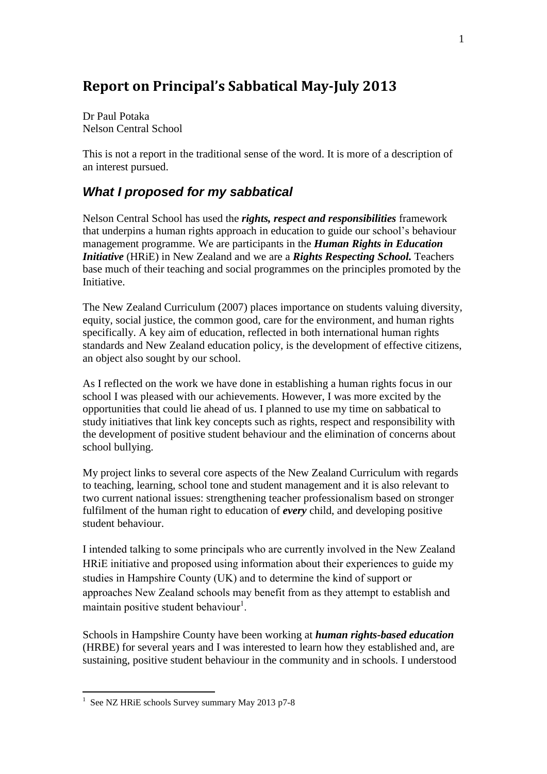# **Report on Principal's Sabbatical May-July 2013**

Dr Paul Potaka Nelson Central School

This is not a report in the traditional sense of the word. It is more of a description of an interest pursued.

## *What I proposed for my sabbatical*

Nelson Central School has used the *rights, respect and responsibilities* framework that underpins a human rights approach in education to guide our school's behaviour management programme. We are participants in the *Human Rights in Education Initiative* (HRiE) in New Zealand and we are a *Rights Respecting School.* Teachers base much of their teaching and social programmes on the principles promoted by the Initiative.

The New Zealand Curriculum (2007) places importance on students valuing diversity, equity, social justice, the common good, care for the environment, and human rights specifically. A key aim of education, reflected in both international human rights standards and New Zealand education policy, is the development of effective citizens, an object also sought by our school.

As I reflected on the work we have done in establishing a human rights focus in our school I was pleased with our achievements. However, I was more excited by the opportunities that could lie ahead of us. I planned to use my time on sabbatical to study initiatives that link key concepts such as rights, respect and responsibility with the development of positive student behaviour and the elimination of concerns about school bullying.

My project links to several core aspects of the New Zealand Curriculum with regards to teaching, learning, school tone and student management and it is also relevant to two current national issues: strengthening teacher professionalism based on stronger fulfilment of the human right to education of *every* child, and developing positive student behaviour.

I intended talking to some principals who are currently involved in the New Zealand HRiE initiative and proposed using information about their experiences to guide my studies in Hampshire County (UK) and to determine the kind of support or approaches New Zealand schools may benefit from as they attempt to establish and maintain positive student behaviour<sup>1</sup>.

Schools in Hampshire County have been working at *human rights-based education* (HRBE) for several years and I was interested to learn how they established and, are sustaining, positive student behaviour in the community and in schools. I understood

 1 See NZ HRiE schools Survey summary May 2013 p7-8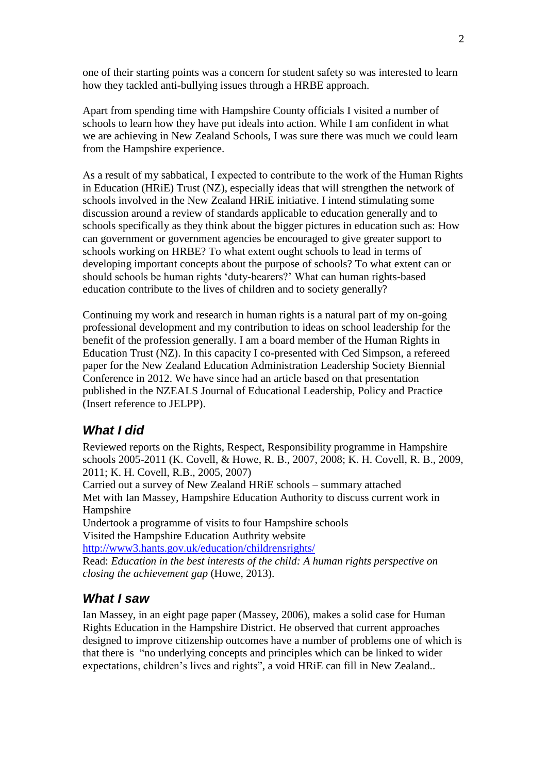one of their starting points was a concern for student safety so was interested to learn how they tackled anti-bullying issues through a HRBE approach.

Apart from spending time with Hampshire County officials I visited a number of schools to learn how they have put ideals into action. While I am confident in what we are achieving in New Zealand Schools, I was sure there was much we could learn from the Hampshire experience.

As a result of my sabbatical, I expected to contribute to the work of the Human Rights in Education (HRiE) Trust (NZ), especially ideas that will strengthen the network of schools involved in the New Zealand HRiE initiative. I intend stimulating some discussion around a review of standards applicable to education generally and to schools specifically as they think about the bigger pictures in education such as: How can government or government agencies be encouraged to give greater support to schools working on HRBE? To what extent ought schools to lead in terms of developing important concepts about the purpose of schools? To what extent can or should schools be human rights 'duty-bearers?' What can human rights-based education contribute to the lives of children and to society generally?

Continuing my work and research in human rights is a natural part of my on-going professional development and my contribution to ideas on school leadership for the benefit of the profession generally. I am a board member of the Human Rights in Education Trust (NZ). In this capacity I co-presented with Ced Simpson, a refereed paper for the New Zealand Education Administration Leadership Society Biennial Conference in 2012. We have since had an article based on that presentation published in the NZEALS Journal of Educational Leadership, Policy and Practice (Insert reference to JELPP).

### *What I did*

Reviewed reports on the Rights, Respect, Responsibility programme in Hampshire schools 2005-2011 [\(K. Covell, & Howe, R. B., 2007,](#page-25-0) [2008;](#page-25-1) [K. H. Covell, R. B., 2009,](#page-25-2) [2011;](#page-25-3) [K. H. Covell, R.B., 2005,](#page-25-4) [2007\)](#page-25-5)

Carried out a survey of New Zealand HRiE schools – summary attached Met with Ian Massey, Hampshire Education Authority to discuss current work in Hampshire

Undertook a programme of visits to four Hampshire schools Visited the Hampshire Education Authrity website

<http://www3.hants.gov.uk/education/childrensrights/>

Read: *Education in the best interests of the child: A human rights perspective on closing the achievement gap* [\(Howe, 2013\)](#page-25-6).

### *What I saw*

Ian Massey, in an eight page paper [\(Massey, 2006\)](#page-25-7), makes a solid case for Human Rights Education in the Hampshire District. He observed that current approaches designed to improve citizenship outcomes have a number of problems one of which is that there is "no underlying concepts and principles which can be linked to wider expectations, children's lives and rights", a void HRiE can fill in New Zealand..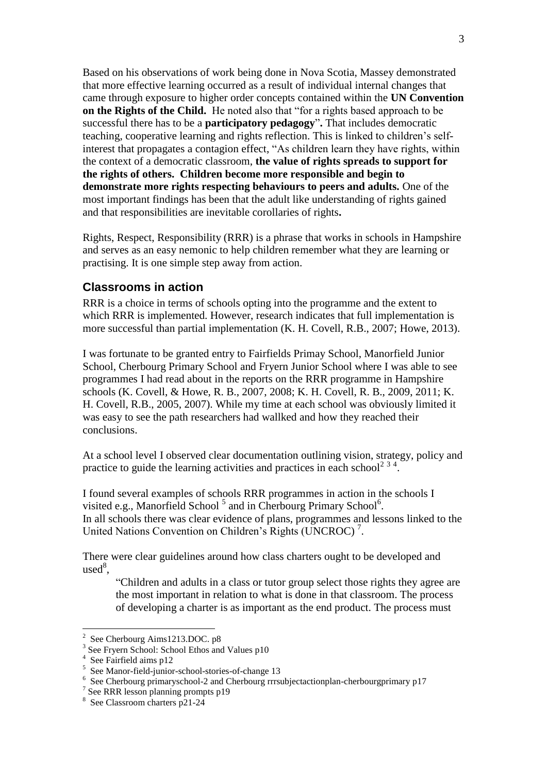Based on his observations of work being done in Nova Scotia, Massey demonstrated that more effective learning occurred as a result of individual internal changes that came through exposure to higher order concepts contained within the **UN Convention on the Rights of the Child.** He noted also that "for a rights based approach to be successful there has to be a **participatory pedagogy**"**.** That includes democratic teaching, cooperative learning and rights reflection. This is linked to children's selfinterest that propagates a contagion effect, "As children learn they have rights, within the context of a democratic classroom, **the value of rights spreads to support for the rights of others. Children become more responsible and begin to demonstrate more rights respecting behaviours to peers and adults.** One of the most important findings has been that the adult like understanding of rights gained and that responsibilities are inevitable corollaries of rights**.**

Rights, Respect, Responsibility (RRR) is a phrase that works in schools in Hampshire and serves as an easy nemonic to help children remember what they are learning or practising. It is one simple step away from action.

### **Classrooms in action**

RRR is a choice in terms of schools opting into the programme and the extent to which RRR is implemented. However, research indicates that full implementation is more successful than partial implementation [\(K. H. Covell, R.B., 2007;](#page-25-5) [Howe, 2013\)](#page-25-6).

I was fortunate to be granted entry to Fairfields Primay School, Manorfield Junior School, Cherbourg Primary School and Fryern Junior School where I was able to see programmes I had read about in the reports on the RRR programme in Hampshire schools [\(K. Covell, & Howe, R. B., 2007,](#page-25-0) [2008;](#page-25-1) [K. H. Covell, R. B., 2009,](#page-25-2) [2011;](#page-25-3) [K.](#page-25-4)  [H. Covell, R.B., 2005,](#page-25-4) [2007\)](#page-25-5). While my time at each school was obviously limited it was easy to see the path researchers had wallked and how they reached their conclusions.

At a school level I observed clear documentation outlining vision, strategy, policy and practice to guide the learning activities and practices in each school<sup>2 3 4</sup>.

I found several examples of schools RRR programmes in action in the schools I visited e.g., Manorfield School<sup>5</sup> and in Cherbourg Primary School<sup>6</sup>. In all schools there was clear evidence of plans, programmes and lessons linked to the United Nations Convention on Children's Rights (UNCROC)<sup>7</sup>.

There were clear guidelines around how class charters ought to be developed and  $used<sup>8</sup>$ ,

"Children and adults in a class or tutor group select those rights they agree are the most important in relation to what is done in that classroom. The process of developing a charter is as important as the end product. The process must

1

<sup>&</sup>lt;sup>2</sup> See Cherbourg Aims1213.DOC. p8

<sup>&</sup>lt;sup>3</sup> See Fryern School: School Ethos and Values p10

<sup>4</sup> See Fairfield aims p12

<sup>&</sup>lt;sup>5</sup> See Manor-field-junior-school-stories-of-change 13

<sup>&</sup>lt;sup>6</sup> See Cherbourg primaryschool-2 and Cherbourg rrrsubjectactionplan-cherbourgprimary p17

<sup>7</sup> See RRR lesson planning prompts p19

<sup>8</sup> See Classroom charters p21-24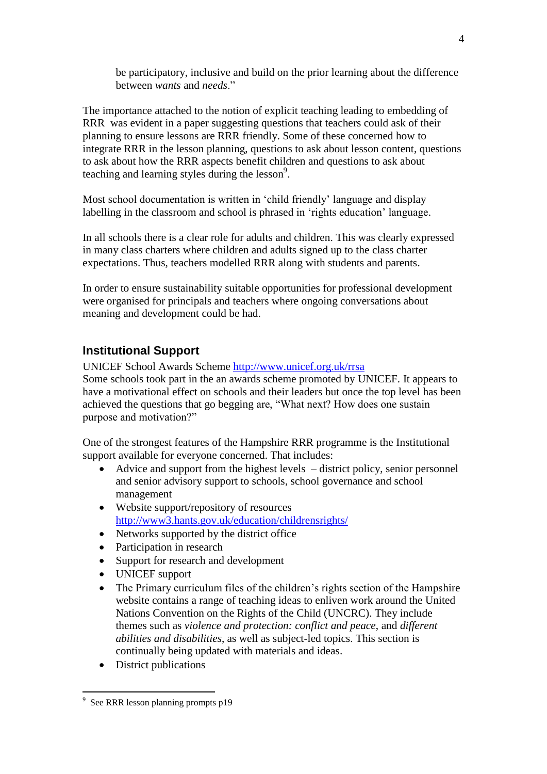be participatory, inclusive and build on the prior learning about the difference between *wants* and *needs*."

The importance attached to the notion of explicit teaching leading to embedding of RRR was evident in a paper suggesting questions that teachers could ask of their planning to ensure lessons are RRR friendly. Some of these concerned how to integrate RRR in the lesson planning, questions to ask about lesson content, questions to ask about how the RRR aspects benefit children and questions to ask about teaching and learning styles during the lesson<sup>9</sup>.

Most school documentation is written in 'child friendly' language and display labelling in the classroom and school is phrased in 'rights education' language.

In all schools there is a clear role for adults and children. This was clearly expressed in many class charters where children and adults signed up to the class charter expectations. Thus, teachers modelled RRR along with students and parents.

In order to ensure sustainability suitable opportunities for professional development were organised for principals and teachers where ongoing conversations about meaning and development could be had.

### **Institutional Support**

UNICEF School Awards Scheme<http://www.unicef.org.uk/rrsa>

Some schools took part in the an awards scheme promoted by UNICEF. It appears to have a motivational effect on schools and their leaders but once the top level has been achieved the questions that go begging are, "What next? How does one sustain purpose and motivation?"

One of the strongest features of the Hampshire RRR programme is the Institutional support available for everyone concerned. That includes:

- Advice and support from the highest levels district policy, senior personnel and senior advisory support to schools, school governance and school management
- Website support/repository of resources <http://www3.hants.gov.uk/education/childrensrights/>
- Networks supported by the district office
- Participation in research
- Support for research and development
- UNICEF support
- The Primary curriculum files of the children's rights section of the Hampshire website contains a range of teaching ideas to enliven work around the United Nations Convention on the Rights of the Child (UNCRC). They include themes such as *violence and protection: conflict and peace*, and *different abilities and disabilities*, as well as subject-led topics. This section is continually being updated with materials and ideas.
- District publications

1

<sup>&</sup>lt;sup>9</sup> See RRR lesson planning prompts p19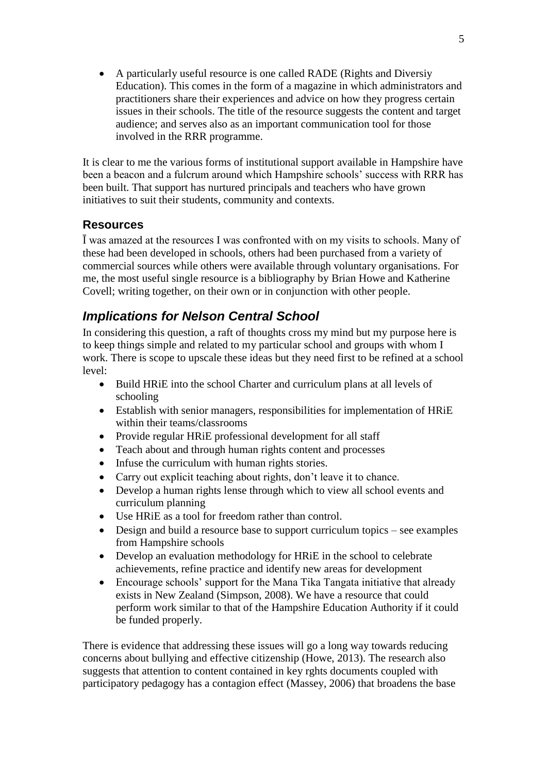A particularly useful resource is one called RADE (Rights and Diversiy Education). This comes in the form of a magazine in which administrators and practitioners share their experiences and advice on how they progress certain issues in their schools. The title of the resource suggests the content and target audience; and serves also as an important communication tool for those involved in the RRR programme.

It is clear to me the various forms of institutional support available in Hampshire have been a beacon and a fulcrum around which Hampshire schools' success with RRR has been built. That support has nurtured principals and teachers who have grown initiatives to suit their students, community and contexts.

### **Resources**

Ī was amazed at the resources I was confronted with on my visits to schools. Many of these had been developed in schools, others had been purchased from a variety of commercial sources while others were available through voluntary organisations. For me, the most useful single resource is a bibliography by Brian Howe and Katherine Covell; writing together, on their own or in conjunction with other people.

### *Implications for Nelson Central School*

In considering this question, a raft of thoughts cross my mind but my purpose here is to keep things simple and related to my particular school and groups with whom I work. There is scope to upscale these ideas but they need first to be refined at a school level:

- Build HRiE into the school Charter and curriculum plans at all levels of schooling
- Establish with senior managers, responsibilities for implementation of HRiE within their teams/classrooms
- Provide regular HRiE professional development for all staff
- Teach about and through human rights content and processes
- Infuse the curriculum with human rights stories.
- Carry out explicit teaching about rights, don't leave it to chance.
- Develop a human rights lense through which to view all school events and curriculum planning
- Use HRiE as a tool for freedom rather than control.
- Design and build a resource base to support curriculum topics see examples from Hampshire schools
- Develop an evaluation methodology for HRiE in the school to celebrate achievements, refine practice and identify new areas for development
- Encourage schools' support for the Mana Tika Tangata initiative that already exists in New Zealand [\(Simpson, 2008\)](#page-25-8). We have a resource that could perform work similar to that of the Hampshire Education Authority if it could be funded properly.

There is evidence that addressing these issues will go a long way towards reducing concerns about bullying and effective citizenship [\(Howe, 2013\)](#page-25-6). The research also suggests that attention to content contained in key rghts documents coupled with participatory pedagogy has a contagion effect [\(Massey, 2006\)](#page-25-7) that broadens the base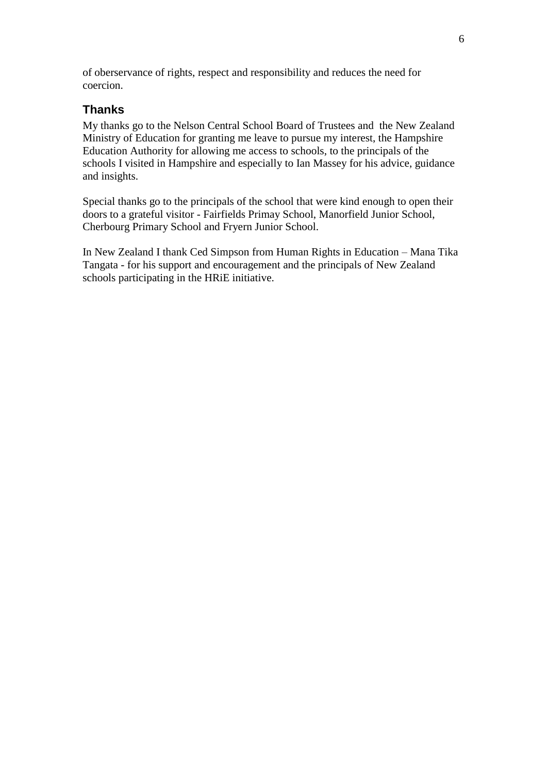of oberservance of rights, respect and responsibility and reduces the need for coercion.

### **Thanks**

My thanks go to the Nelson Central School Board of Trustees and the New Zealand Ministry of Education for granting me leave to pursue my interest, the Hampshire Education Authority for allowing me access to schools, to the principals of the schools I visited in Hampshire and especially to Ian Massey for his advice, guidance and insights.

Special thanks go to the principals of the school that were kind enough to open their doors to a grateful visitor - Fairfields Primay School, Manorfield Junior School, Cherbourg Primary School and Fryern Junior School.

In New Zealand I thank Ced Simpson from Human Rights in Education – Mana Tika Tangata - for his support and encouragement and the principals of New Zealand schools participating in the HRiE initiative.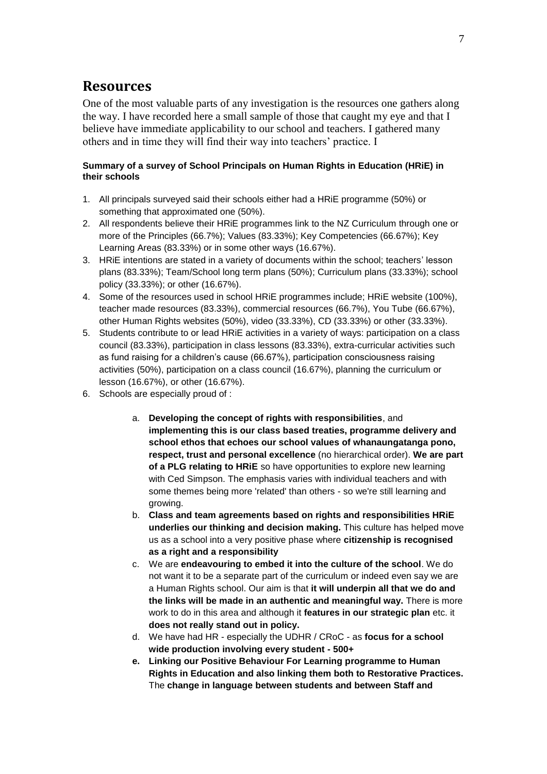### **Resources**

One of the most valuable parts of any investigation is the resources one gathers along the way. I have recorded here a small sample of those that caught my eye and that I believe have immediate applicability to our school and teachers. I gathered many others and in time they will find their way into teachers' practice. I

#### **Summary of a survey of School Principals on Human Rights in Education (HRiE) in their schools**

- 1. All principals surveyed said their schools either had a HRiE programme (50%) or something that approximated one (50%).
- 2. All respondents believe their HRiE programmes link to the NZ Curriculum through one or more of the Principles (66.7%); Values (83.33%); Key Competencies (66.67%); Key Learning Areas (83.33%) or in some other ways (16.67%).
- 3. HRiE intentions are stated in a variety of documents within the school; teachers' lesson plans (83.33%); Team/School long term plans (50%); Curriculum plans (33.33%); school policy (33.33%); or other (16.67%).
- 4. Some of the resources used in school HRiE programmes include; HRiE website (100%), teacher made resources (83.33%), commercial resources (66.7%), You Tube (66.67%), other Human Rights websites (50%), video (33.33%), CD (33.33%) or other (33.33%).
- 5. Students contribute to or lead HRiE activities in a variety of ways: participation on a class council (83.33%), participation in class lessons (83.33%), extra-curricular activities such as fund raising for a children's cause (66.67%), participation consciousness raising activities (50%), participation on a class council (16.67%), planning the curriculum or lesson (16.67%), or other (16.67%).
- 6. Schools are especially proud of :
	- a. **Developing the concept of rights with responsibilities**, and **implementing this is our class based treaties, programme delivery and school ethos that echoes our school values of whanaungatanga pono, respect, trust and personal excellence** (no hierarchical order). **We are part of a PLG relating to HRiE** so have opportunities to explore new learning with Ced Simpson. The emphasis varies with individual teachers and with some themes being more 'related' than others - so we're still learning and growing.
	- b. **Class and team agreements based on rights and responsibilities HRiE underlies our thinking and decision making.** This culture has helped move us as a school into a very positive phase where **citizenship is recognised as a right and a responsibility**
	- c. We are **endeavouring to embed it into the culture of the school**. We do not want it to be a separate part of the curriculum or indeed even say we are a Human Rights school. Our aim is that **it will underpin all that we do and the links will be made in an authentic and meaningful way.** There is more work to do in this area and although it **features in our strategic plan** etc. it **does not really stand out in policy.**
	- d. We have had HR especially the UDHR / CRoC as **focus for a school wide production involving every student - 500+**
	- **e. Linking our Positive Behaviour For Learning programme to Human Rights in Education and also linking them both to Restorative Practices.**  The **change in language between students and between Staff and**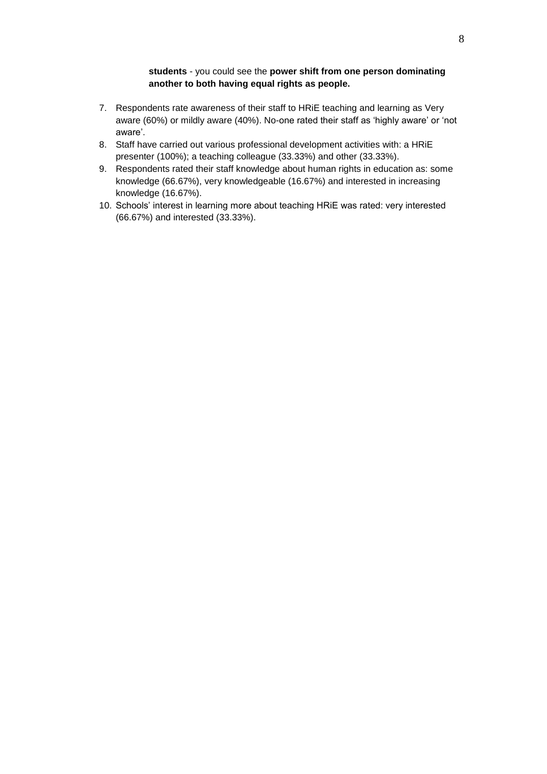#### **students** - you could see the **power shift from one person dominating another to both having equal rights as people.**

- 7. Respondents rate awareness of their staff to HRiE teaching and learning as Very aware (60%) or mildly aware (40%). No-one rated their staff as 'highly aware' or 'not aware'.
- 8. Staff have carried out various professional development activities with: a HRiE presenter (100%); a teaching colleague (33.33%) and other (33.33%).
- 9. Respondents rated their staff knowledge about human rights in education as: some knowledge (66.67%), very knowledgeable (16.67%) and interested in increasing knowledge (16.67%).
- 10. Schools' interest in learning more about teaching HRiE was rated: very interested (66.67%) and interested (33.33%).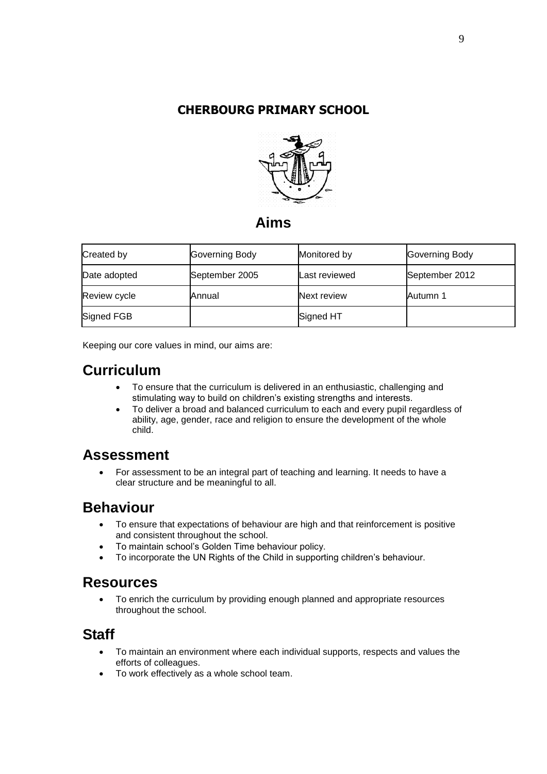### **CHERBOURG PRIMARY SCHOOL**



### **Aims**

| Created by   | Governing Body | Monitored by  | Governing Body |
|--------------|----------------|---------------|----------------|
| Date adopted | September 2005 | Last reviewed | September 2012 |
| Review cycle | Annual         | Next review   | Autumn 1       |
| Signed FGB   |                | Signed HT     |                |

Keeping our core values in mind, our aims are:

# **Curriculum**

- To ensure that the curriculum is delivered in an enthusiastic, challenging and stimulating way to build on children's existing strengths and interests.
- To deliver a broad and balanced curriculum to each and every pupil regardless of ability, age, gender, race and religion to ensure the development of the whole child.

## **Assessment**

 For assessment to be an integral part of teaching and learning. It needs to have a clear structure and be meaningful to all.

# **Behaviour**

- To ensure that expectations of behaviour are high and that reinforcement is positive and consistent throughout the school.
- To maintain school's Golden Time behaviour policy.
- To incorporate the UN Rights of the Child in supporting children's behaviour.

### **Resources**

 To enrich the curriculum by providing enough planned and appropriate resources throughout the school.

# **Staff**

- To maintain an environment where each individual supports, respects and values the efforts of colleagues.
- To work effectively as a whole school team.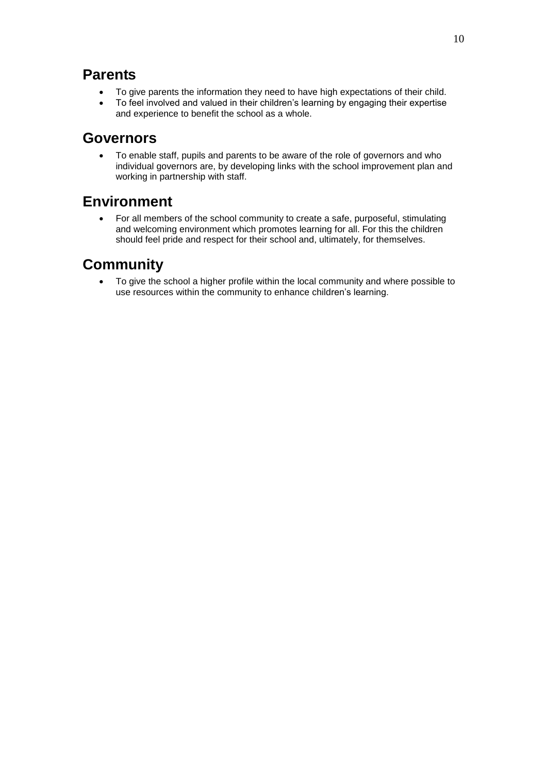## **Parents**

- To give parents the information they need to have high expectations of their child.
- To feel involved and valued in their children's learning by engaging their expertise and experience to benefit the school as a whole.

## **Governors**

 To enable staff, pupils and parents to be aware of the role of governors and who individual governors are, by developing links with the school improvement plan and working in partnership with staff.

# **Environment**

 For all members of the school community to create a safe, purposeful, stimulating and welcoming environment which promotes learning for all. For this the children should feel pride and respect for their school and, ultimately, for themselves.

# **Community**

 To give the school a higher profile within the local community and where possible to use resources within the community to enhance children's learning.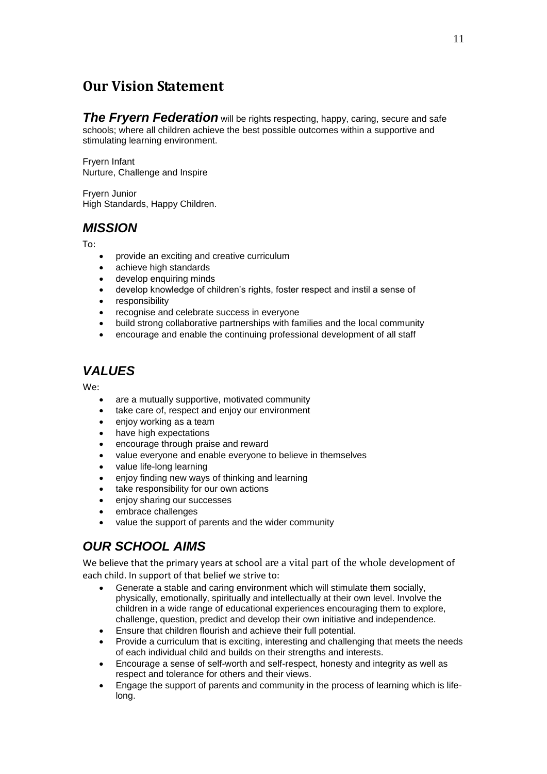## **Our Vision Statement**

**The Frvern Federation** will be rights respecting, happy, caring, secure and safe schools; where all children achieve the best possible outcomes within a supportive and stimulating learning environment.

Fryern Infant Nurture, Challenge and Inspire

Fryern Junior High Standards, Happy Children.

### *MISSION*

To:

- provide an exciting and creative curriculum
- achieve high standards
- develop enquiring minds
- develop knowledge of children's rights, foster respect and instil a sense of
- responsibility
- recognise and celebrate success in everyone
- build strong collaborative partnerships with families and the local community
- encourage and enable the continuing professional development of all staff

## *VALUES*

We:

- are a mutually supportive, motivated community
- take care of, respect and enjoy our environment
- enjoy working as a team
- have high expectations
- encourage through praise and reward
- value everyone and enable everyone to believe in themselves
- value life-long learning
- enjoy finding new ways of thinking and learning
- take responsibility for our own actions
- enjoy sharing our successes
- embrace challenges
- value the support of parents and the wider community

# *OUR SCHOOL AIMS*

We believe that the primary years at school are a vital part of the whole development of each child. In support of that belief we strive to:

- Generate a stable and caring environment which will stimulate them socially, physically, emotionally, spiritually and intellectually at their own level. Involve the children in a wide range of educational experiences encouraging them to explore, challenge, question, predict and develop their own initiative and independence.
- Ensure that children flourish and achieve their full potential.
- Provide a curriculum that is exciting, interesting and challenging that meets the needs of each individual child and builds on their strengths and interests.
- Encourage a sense of self-worth and self-respect, honesty and integrity as well as respect and tolerance for others and their views.
- Engage the support of parents and community in the process of learning which is lifelong.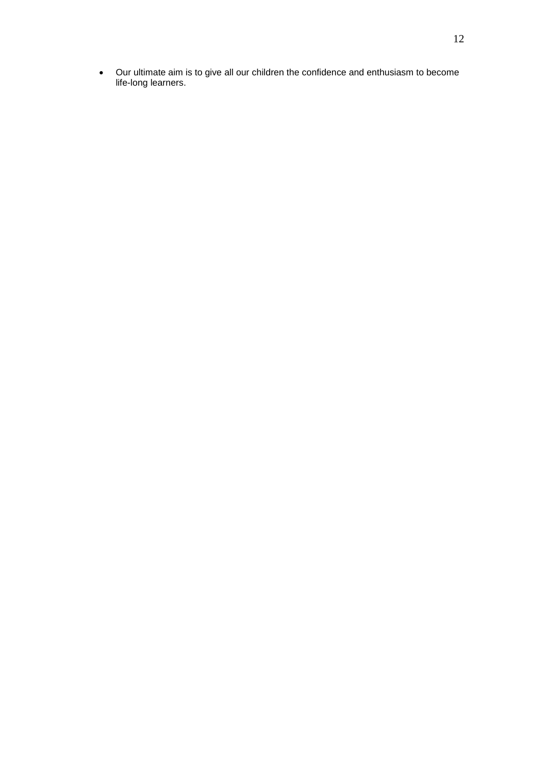Our ultimate aim is to give all our children the confidence and enthusiasm to become life-long learners.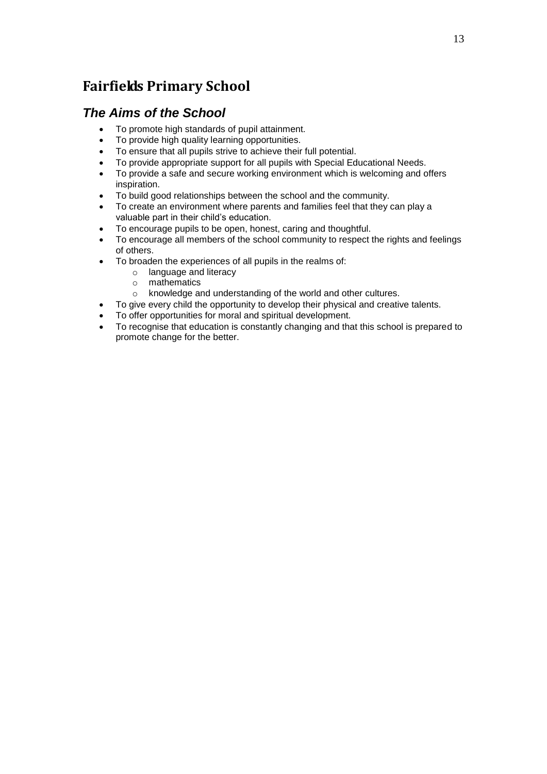# **Fairfields Primary School**

### *The Aims of the School*

- To promote high standards of pupil attainment.
- To provide high quality learning opportunities.
- To ensure that all pupils strive to achieve their full potential.
- To provide appropriate support for all pupils with Special Educational Needs.
- To provide a safe and secure working environment which is welcoming and offers inspiration.
- To build good relationships between the school and the community.
- To create an environment where parents and families feel that they can play a valuable part in their child's education.
- To encourage pupils to be open, honest, caring and thoughtful.
- To encourage all members of the school community to respect the rights and feelings of others.
- To broaden the experiences of all pupils in the realms of:
	- o language and literacy
	- o mathematics<br>o knowledge are
	- knowledge and understanding of the world and other cultures.
- To give every child the opportunity to develop their physical and creative talents.
- To offer opportunities for moral and spiritual development.
- To recognise that education is constantly changing and that this school is prepared to promote change for the better.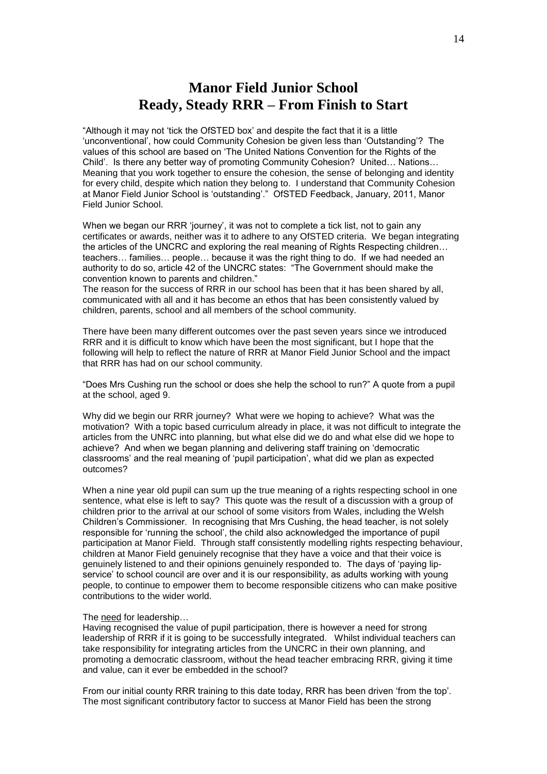## **Manor Field Junior School Ready, Steady RRR – From Finish to Start**

"Although it may not 'tick the OfSTED box' and despite the fact that it is a little 'unconventional', how could Community Cohesion be given less than 'Outstanding'? The values of this school are based on 'The United Nations Convention for the Rights of the Child'. Is there any better way of promoting Community Cohesion? United… Nations… Meaning that you work together to ensure the cohesion, the sense of belonging and identity for every child, despite which nation they belong to. I understand that Community Cohesion at Manor Field Junior School is 'outstanding'." OfSTED Feedback, January, 2011, Manor Field Junior School.

When we began our RRR 'journey', it was not to complete a tick list, not to gain any certificates or awards, neither was it to adhere to any OfSTED criteria. We began integrating the articles of the UNCRC and exploring the real meaning of Rights Respecting children… teachers… families… people… because it was the right thing to do. If we had needed an authority to do so, article 42 of the UNCRC states: "The Government should make the convention known to parents and children."

The reason for the success of RRR in our school has been that it has been shared by all, communicated with all and it has become an ethos that has been consistently valued by children, parents, school and all members of the school community.

There have been many different outcomes over the past seven years since we introduced RRR and it is difficult to know which have been the most significant, but I hope that the following will help to reflect the nature of RRR at Manor Field Junior School and the impact that RRR has had on our school community.

"Does Mrs Cushing run the school or does she help the school to run?" A quote from a pupil at the school, aged 9.

Why did we begin our RRR journey? What were we hoping to achieve? What was the motivation? With a topic based curriculum already in place, it was not difficult to integrate the articles from the UNRC into planning, but what else did we do and what else did we hope to achieve? And when we began planning and delivering staff training on 'democratic classrooms' and the real meaning of 'pupil participation', what did we plan as expected outcomes?

When a nine year old pupil can sum up the true meaning of a rights respecting school in one sentence, what else is left to say? This quote was the result of a discussion with a group of children prior to the arrival at our school of some visitors from Wales, including the Welsh Children's Commissioner. In recognising that Mrs Cushing, the head teacher, is not solely responsible for 'running the school', the child also acknowledged the importance of pupil participation at Manor Field. Through staff consistently modelling rights respecting behaviour, children at Manor Field genuinely recognise that they have a voice and that their voice is genuinely listened to and their opinions genuinely responded to. The days of 'paying lipservice' to school council are over and it is our responsibility, as adults working with young people, to continue to empower them to become responsible citizens who can make positive contributions to the wider world.

#### The need for leadership…

Having recognised the value of pupil participation, there is however a need for strong leadership of RRR if it is going to be successfully integrated. Whilst individual teachers can take responsibility for integrating articles from the UNCRC in their own planning, and promoting a democratic classroom, without the head teacher embracing RRR, giving it time and value, can it ever be embedded in the school?

From our initial county RRR training to this date today, RRR has been driven 'from the top'. The most significant contributory factor to success at Manor Field has been the strong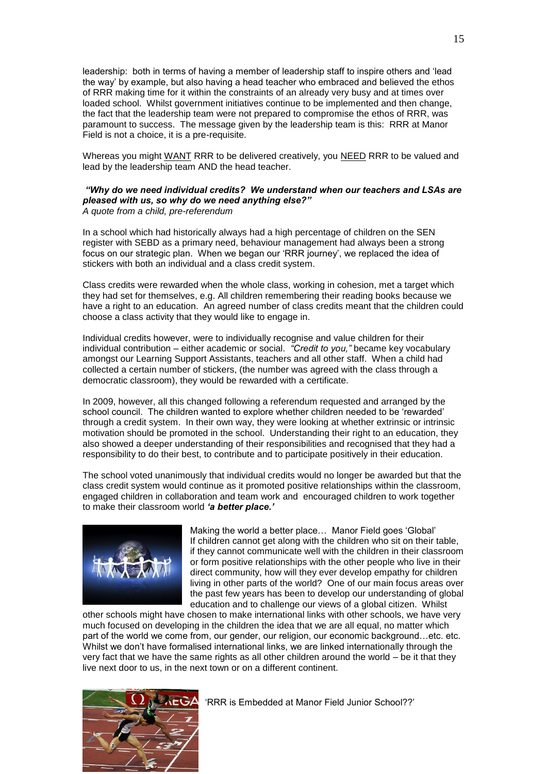leadership: both in terms of having a member of leadership staff to inspire others and 'lead the way' by example, but also having a head teacher who embraced and believed the ethos of RRR making time for it within the constraints of an already very busy and at times over loaded school. Whilst government initiatives continue to be implemented and then change, the fact that the leadership team were not prepared to compromise the ethos of RRR, was paramount to success. The message given by the leadership team is this: RRR at Manor Field is not a choice, it is a pre-requisite.

Whereas you might WANT RRR to be delivered creatively, you NEED RRR to be valued and lead by the leadership team AND the head teacher.

#### *"Why do we need individual credits? We understand when our teachers and LSAs are pleased with us, so why do we need anything else?" A quote from a child, pre-referendum*

In a school which had historically always had a high percentage of children on the SEN register with SEBD as a primary need, behaviour management had always been a strong focus on our strategic plan. When we began our 'RRR journey', we replaced the idea of stickers with both an individual and a class credit system.

Class credits were rewarded when the whole class, working in cohesion, met a target which they had set for themselves, e.g. All children remembering their reading books because we have a right to an education. An agreed number of class credits meant that the children could choose a class activity that they would like to engage in.

Individual credits however, were to individually recognise and value children for their individual contribution – either academic or social. *"Credit to you,"* became key vocabulary amongst our Learning Support Assistants, teachers and all other staff. When a child had collected a certain number of stickers, (the number was agreed with the class through a democratic classroom), they would be rewarded with a certificate.

In 2009, however, all this changed following a referendum requested and arranged by the school council. The children wanted to explore whether children needed to be 'rewarded' through a credit system. In their own way, they were looking at whether extrinsic or intrinsic motivation should be promoted in the school. Understanding their right to an education, they also showed a deeper understanding of their responsibilities and recognised that they had a responsibility to do their best, to contribute and to participate positively in their education.

The school voted unanimously that individual credits would no longer be awarded but that the class credit system would continue as it promoted positive relationships within the classroom, engaged children in collaboration and team work and encouraged children to work together to make their classroom world *'a better place.'*



Making the world a better place… Manor Field goes 'Global' If children cannot get along with the children who sit on their table, if they cannot communicate well with the children in their classroom or form positive relationships with the other people who live in their direct community, how will they ever develop empathy for children living in other parts of the world? One of our main focus areas over the past few years has been to develop our understanding of global education and to challenge our views of a global citizen. Whilst

other schools might have chosen to make international links with other schools, we have very much focused on developing in the children the idea that we are all equal, no matter which part of the world we come from, our gender, our religion, our economic background…etc. etc. Whilst we don't have formalised international links, we are linked internationally through the very fact that we have the same rights as all other children around the world – be it that they live next door to us, in the next town or on a different continent.



'RRR is Embedded at Manor Field Junior School??'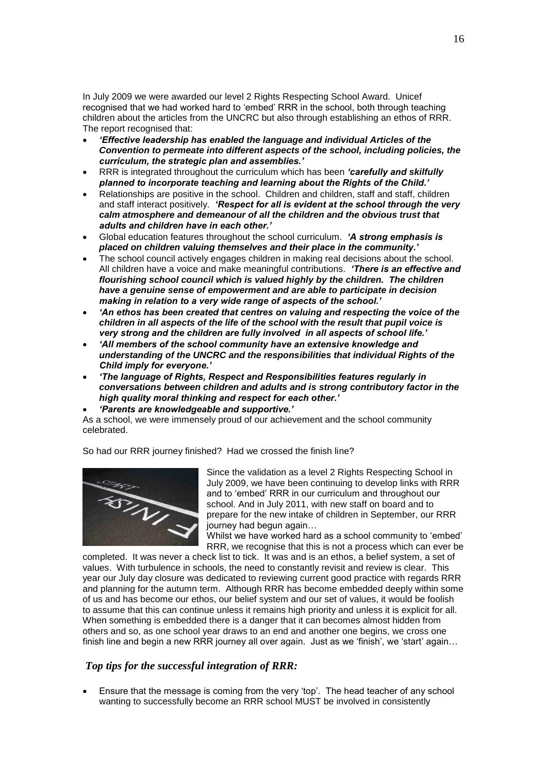In July 2009 we were awarded our level 2 Rights Respecting School Award. Unicef recognised that we had worked hard to 'embed' RRR in the school, both through teaching children about the articles from the UNCRC but also through establishing an ethos of RRR. The report recognised that:

- *'Effective leadership has enabled the language and individual Articles of the Convention to permeate into different aspects of the school, including policies, the curriculum, the strategic plan and assemblies.'*
- RRR is integrated throughout the curriculum which has been *'carefully and skilfully planned to incorporate teaching and learning about the Rights of the Child.'*
- Relationships are positive in the school. Children and children, staff and staff, children and staff interact positively. *'Respect for all is evident at the school through the very calm atmosphere and demeanour of all the children and the obvious trust that adults and children have in each other.'*
- Global education features throughout the school curriculum. *'A strong emphasis is placed on children valuing themselves and their place in the community.'*
- The school council actively engages children in making real decisions about the school. All children have a voice and make meaningful contributions. *'There is an effective and flourishing school council which is valued highly by the children. The children have a genuine sense of empowerment and are able to participate in decision making in relation to a very wide range of aspects of the school.'*
- *'An ethos has been created that centres on valuing and respecting the voice of the children in all aspects of the life of the school with the result that pupil voice is very strong and the children are fully involved in all aspects of school life.'*
- *'All members of the school community have an extensive knowledge and understanding of the UNCRC and the responsibilities that individual Rights of the Child imply for everyone.'*
- *'The language of Rights, Respect and Responsibilities features regularly in conversations between children and adults and is strong contributory factor in the high quality moral thinking and respect for each other.'*
- *'Parents are knowledgeable and supportive.'*

As a school, we were immensely proud of our achievement and the school community celebrated.

So had our RRR journey finished? Had we crossed the finish line?



Since the validation as a level 2 Rights Respecting School in July 2009, we have been continuing to develop links with RRR and to 'embed' RRR in our curriculum and throughout our school. And in July 2011, with new staff on board and to prepare for the new intake of children in September, our RRR journey had begun again…

Whilst we have worked hard as a school community to 'embed' RRR, we recognise that this is not a process which can ever be

completed. It was never a check list to tick. It was and is an ethos, a belief system, a set of values. With turbulence in schools, the need to constantly revisit and review is clear. This year our July day closure was dedicated to reviewing current good practice with regards RRR and planning for the autumn term. Although RRR has become embedded deeply within some of us and has become our ethos, our belief system and our set of values, it would be foolish to assume that this can continue unless it remains high priority and unless it is explicit for all. When something is embedded there is a danger that it can becomes almost hidden from others and so, as one school year draws to an end and another one begins, we cross one finish line and begin a new RRR journey all over again. Just as we 'finish', we 'start' again...

#### *Top tips for the successful integration of RRR:*

 Ensure that the message is coming from the very 'top'. The head teacher of any school wanting to successfully become an RRR school MUST be involved in consistently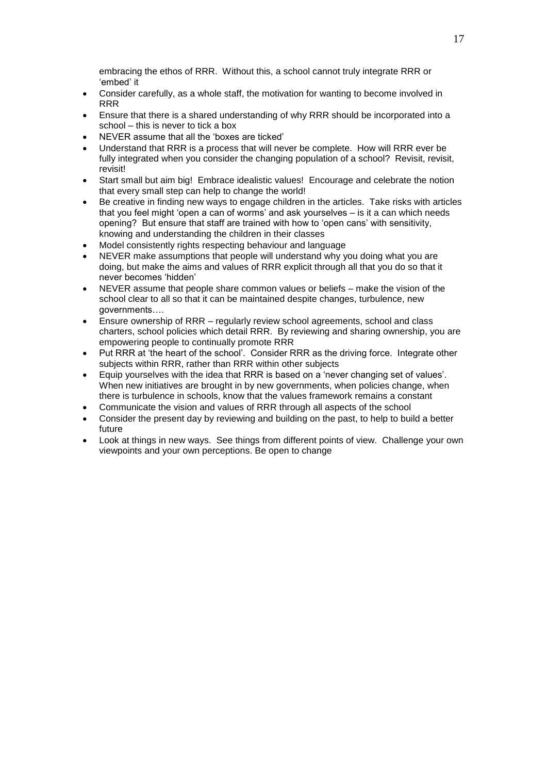embracing the ethos of RRR. Without this, a school cannot truly integrate RRR or 'embed' it

- Consider carefully, as a whole staff, the motivation for wanting to become involved in RRR
- Ensure that there is a shared understanding of why RRR should be incorporated into a school – this is never to tick a box
- NEVER assume that all the 'boxes are ticked'
- Understand that RRR is a process that will never be complete. How will RRR ever be fully integrated when you consider the changing population of a school? Revisit, revisit, revisit!
- Start small but aim big! Embrace idealistic values! Encourage and celebrate the notion that every small step can help to change the world!
- Be creative in finding new ways to engage children in the articles. Take risks with articles that you feel might 'open a can of worms' and ask yourselves – is it a can which needs opening? But ensure that staff are trained with how to 'open cans' with sensitivity, knowing and understanding the children in their classes
- Model consistently rights respecting behaviour and language
- NEVER make assumptions that people will understand why you doing what you are doing, but make the aims and values of RRR explicit through all that you do so that it never becomes 'hidden'
- NEVER assume that people share common values or beliefs make the vision of the school clear to all so that it can be maintained despite changes, turbulence, new governments….
- Ensure ownership of RRR regularly review school agreements, school and class charters, school policies which detail RRR. By reviewing and sharing ownership, you are empowering people to continually promote RRR
- Put RRR at 'the heart of the school'. Consider RRR as the driving force. Integrate other subjects within RRR, rather than RRR within other subjects
- Equip yourselves with the idea that RRR is based on a 'never changing set of values'. When new initiatives are brought in by new governments, when policies change, when there is turbulence in schools, know that the values framework remains a constant
- Communicate the vision and values of RRR through all aspects of the school
- Consider the present day by reviewing and building on the past, to help to build a better future
- Look at things in new ways. See things from different points of view. Challenge your own viewpoints and your own perceptions. Be open to change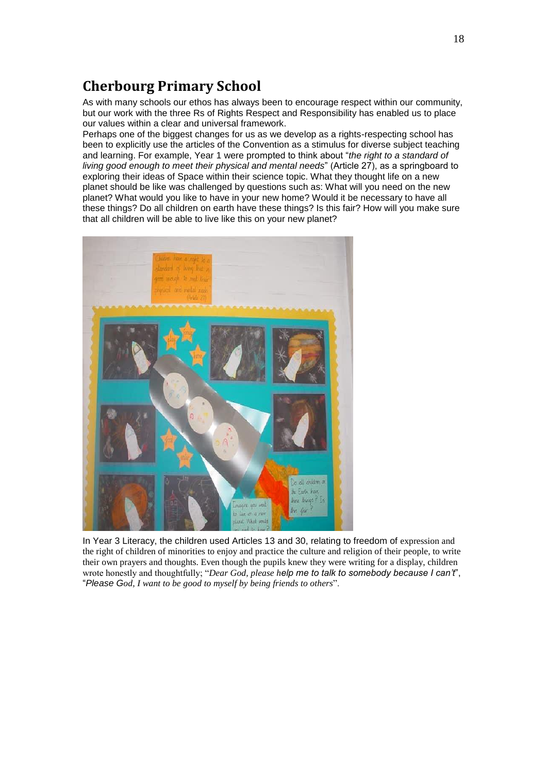# **Cherbourg Primary School**

As with many schools our ethos has always been to encourage respect within our community, but our work with the three Rs of Rights Respect and Responsibility has enabled us to place our values within a clear and universal framework.

Perhaps one of the biggest changes for us as we develop as a rights-respecting school has been to explicitly use the articles of the Convention as a stimulus for diverse subject teaching and learning. For example, Year 1 were prompted to think about "*the right to a standard of living good enough to meet their physical and mental needs*" (Article 27), as a springboard to exploring their ideas of Space within their science topic. What they thought life on a new planet should be like was challenged by questions such as: What will you need on the new planet? What would you like to have in your new home? Would it be necessary to have all these things? Do all children on earth have these things? Is this fair? How will you make sure that all children will be able to live like this on your new planet?



In Year 3 Literacy, the children used Articles 13 and 30, relating to freedom of expression and the right of children of minorities to enjoy and practice the culture and religion of their people, to write their own prayers and thoughts. Even though the pupils knew they were writing for a display, children wrote honestly and thoughtfully; "*Dear God, please help me to talk to somebody because I can't*", "*Please God, I want to be good to myself by being friends to others*".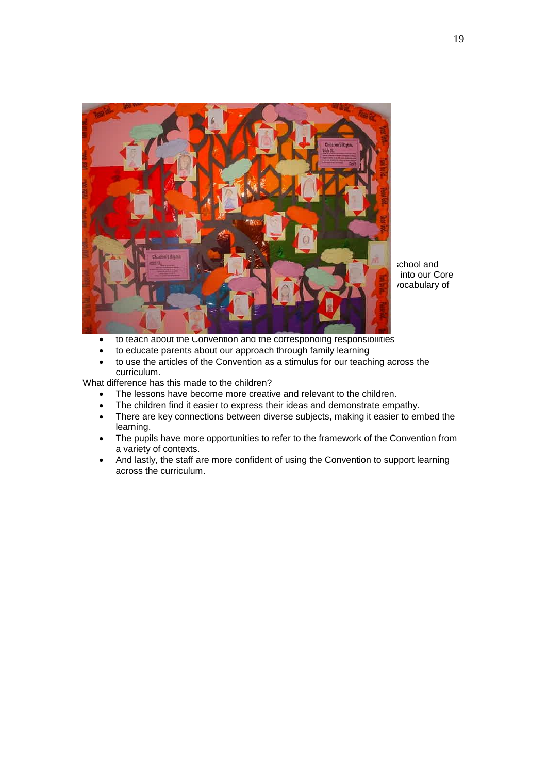

ichool and into our Core vocabulary of

- **to teach about the Convention and the corresponding responsibilities**
- to educate parents about our approach through family learning
- to use the articles of the Convention as a stimulus for our teaching across the curriculum.

What difference has this made to the children?

- The lessons have become more creative and relevant to the children.
- The children find it easier to express their ideas and demonstrate empathy.
- There are key connections between diverse subjects, making it easier to embed the learning.
- The pupils have more opportunities to refer to the framework of the Convention from a variety of contexts.
- And lastly, the staff are more confident of using the Convention to support learning across the curriculum.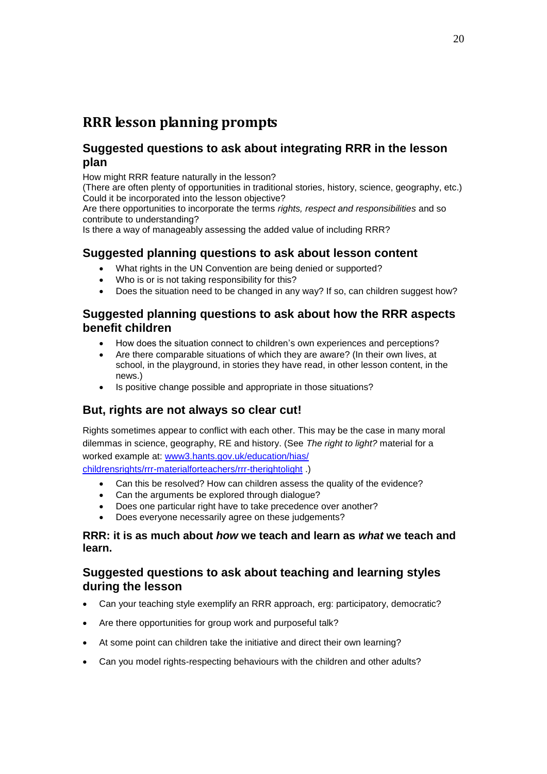# **RRR lesson planning prompts**

### **Suggested questions to ask about integrating RRR in the lesson plan**

How might RRR feature naturally in the lesson?

(There are often plenty of opportunities in traditional stories, history, science, geography, etc.) Could it be incorporated into the lesson objective?

Are there opportunities to incorporate the terms *rights, respect and responsibilities* and so contribute to understanding?

Is there a way of manageably assessing the added value of including RRR?

### **Suggested planning questions to ask about lesson content**

- What rights in the UN Convention are being denied or supported?
- Who is or is not taking responsibility for this?
- Does the situation need to be changed in any way? If so, can children suggest how?

### **Suggested planning questions to ask about how the RRR aspects benefit children**

- How does the situation connect to children's own experiences and perceptions?
- Are there comparable situations of which they are aware? (In their own lives, at school, in the playground, in stories they have read, in other lesson content, in the news.)
- Is positive change possible and appropriate in those situations?

### **But, rights are not always so clear cut!**

Rights sometimes appear to conflict with each other. This may be the case in many moral dilemmas in science, geography, RE and history. (See *The right to light?* material for a worked example at: [www3.hants.gov.uk/education/hias/](http://www3.hants.gov.uk/education/hias/childrensrights/rrr-materialforteachers/rrr-therightolight) [childrensrights/rrr-materialforteachers/rrr-therightolight](http://www3.hants.gov.uk/education/hias/childrensrights/rrr-materialforteachers/rrr-therightolight) .)

- Can this be resolved? How can children assess the quality of the evidence?
- Can the arguments be explored through dialogue?
- Does one particular right have to take precedence over another?
- Does everyone necessarily agree on these judgements?

#### **RRR: it is as much about** *how* **we teach and learn as** *what* **we teach and learn.**

### **Suggested questions to ask about teaching and learning styles during the lesson**

- Can your teaching style exemplify an RRR approach, erg: participatory, democratic?
- Are there opportunities for group work and purposeful talk?
- At some point can children take the initiative and direct their own learning?
- Can you model rights-respecting behaviours with the children and other adults?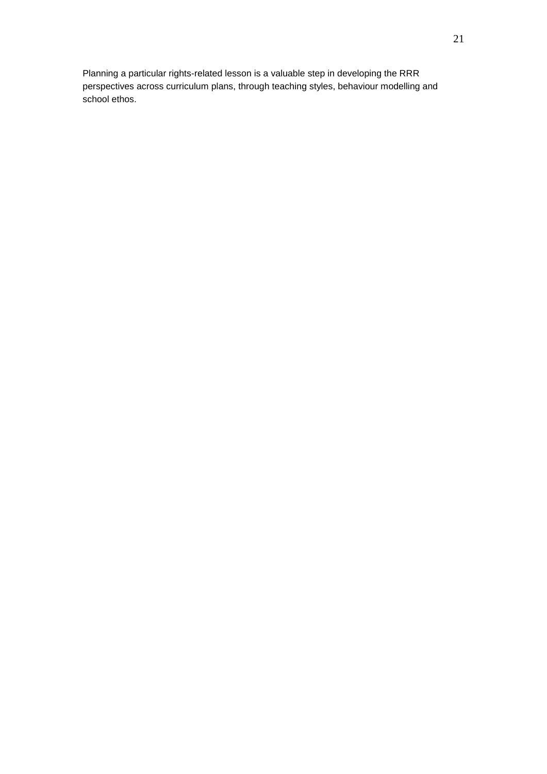Planning a particular rights-related lesson is a valuable step in developing the RRR perspectives across curriculum plans, through teaching styles, behaviour modelling and school ethos.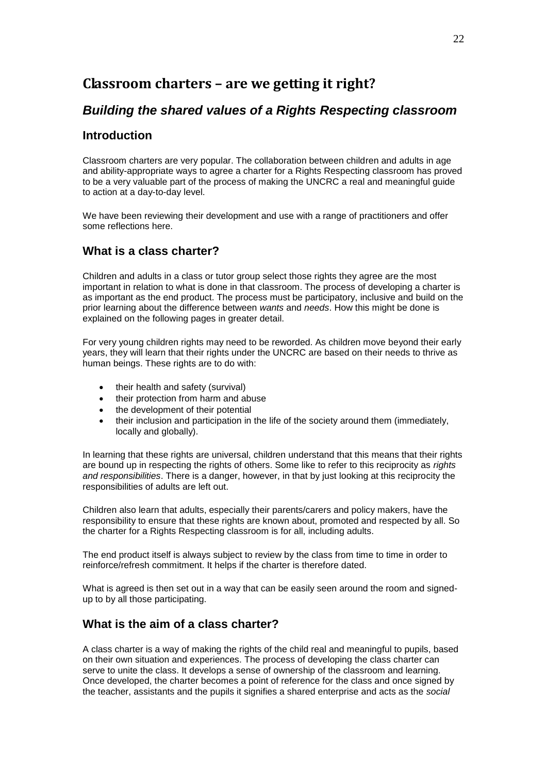# **Classroom charters – are we getting it right?**

### *Building the shared values of a Rights Respecting classroom*

### **Introduction**

Classroom charters are very popular. The collaboration between children and adults in age and ability-appropriate ways to agree a charter for a Rights Respecting classroom has proved to be a very valuable part of the process of making the UNCRC a real and meaningful guide to action at a day-to-day level.

We have been reviewing their development and use with a range of practitioners and offer some reflections here.

### **What is a class charter?**

Children and adults in a class or tutor group select those rights they agree are the most important in relation to what is done in that classroom. The process of developing a charter is as important as the end product. The process must be participatory, inclusive and build on the prior learning about the difference between *wants* and *needs*. How this might be done is explained on the following pages in greater detail.

For very young children rights may need to be reworded. As children move beyond their early years, they will learn that their rights under the UNCRC are based on their needs to thrive as human beings. These rights are to do with:

- their health and safety (survival)
- their protection from harm and abuse
- the development of their potential
- their inclusion and participation in the life of the society around them (immediately, locally and globally).

In learning that these rights are universal, children understand that this means that their rights are bound up in respecting the rights of others. Some like to refer to this reciprocity as *rights and responsibilities*. There is a danger, however, in that by just looking at this reciprocity the responsibilities of adults are left out.

Children also learn that adults, especially their parents/carers and policy makers, have the responsibility to ensure that these rights are known about, promoted and respected by all. So the charter for a Rights Respecting classroom is for all, including adults.

The end product itself is always subject to review by the class from time to time in order to reinforce/refresh commitment. It helps if the charter is therefore dated.

What is agreed is then set out in a way that can be easily seen around the room and signedup to by all those participating.

### **What is the aim of a class charter?**

A class charter is a way of making the rights of the child real and meaningful to pupils, based on their own situation and experiences. The process of developing the class charter can serve to unite the class. It develops a sense of ownership of the classroom and learning. Once developed, the charter becomes a point of reference for the class and once signed by the teacher, assistants and the pupils it signifies a shared enterprise and acts as the *social*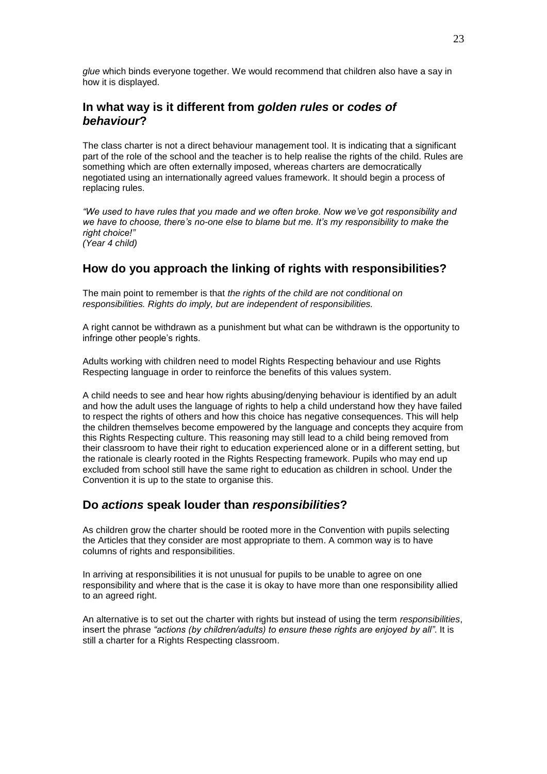*glue* which binds everyone together. We would recommend that children also have a say in how it is displayed.

### **In what way is it different from** *golden rules* **or** *codes of behaviour***?**

The class charter is not a direct behaviour management tool. It is indicating that a significant part of the role of the school and the teacher is to help realise the rights of the child. Rules are something which are often externally imposed, whereas charters are democratically negotiated using an internationally agreed values framework. It should begin a process of replacing rules.

*"We used to have rules that you made and we often broke. Now we've got responsibility and we have to choose, there's no-one else to blame but me. It's my responsibility to make the right choice!" (Year 4 child)*

#### **How do you approach the linking of rights with responsibilities?**

The main point to remember is that *the rights of the child are not conditional on responsibilities. Rights do imply, but are independent of responsibilities.*

A right cannot be withdrawn as a punishment but what can be withdrawn is the opportunity to infringe other people's rights.

Adults working with children need to model Rights Respecting behaviour and use Rights Respecting language in order to reinforce the benefits of this values system.

A child needs to see and hear how rights abusing/denying behaviour is identified by an adult and how the adult uses the language of rights to help a child understand how they have failed to respect the rights of others and how this choice has negative consequences. This will help the children themselves become empowered by the language and concepts they acquire from this Rights Respecting culture. This reasoning may still lead to a child being removed from their classroom to have their right to education experienced alone or in a different setting, but the rationale is clearly rooted in the Rights Respecting framework. Pupils who may end up excluded from school still have the same right to education as children in school. Under the Convention it is up to the state to organise this.

#### **Do** *actions* **speak louder than** *responsibilities***?**

As children grow the charter should be rooted more in the Convention with pupils selecting the Articles that they consider are most appropriate to them. A common way is to have columns of rights and responsibilities.

In arriving at responsibilities it is not unusual for pupils to be unable to agree on one responsibility and where that is the case it is okay to have more than one responsibility allied to an agreed right.

An alternative is to set out the charter with rights but instead of using the term *responsibilities*, insert the phrase *"actions (by children/adults) to ensure these rights are enjoyed by all"*. It is still a charter for a Rights Respecting classroom.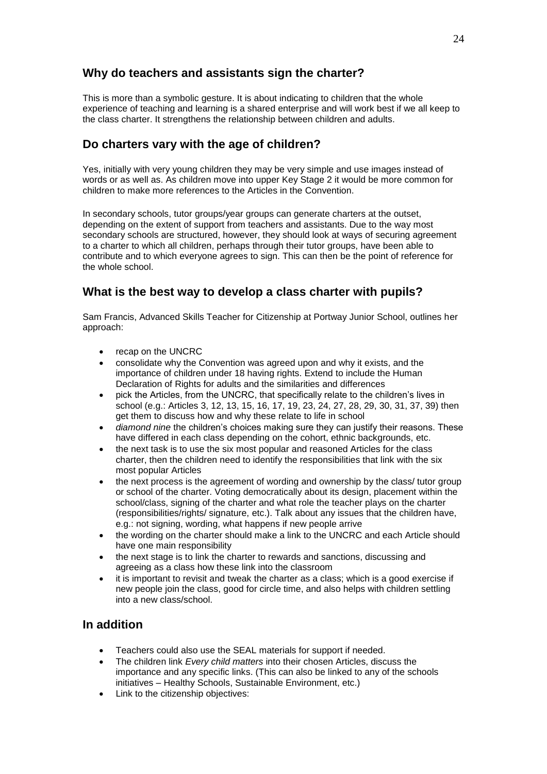### **Why do teachers and assistants sign the charter?**

This is more than a symbolic gesture. It is about indicating to children that the whole experience of teaching and learning is a shared enterprise and will work best if we all keep to the class charter. It strengthens the relationship between children and adults.

### **Do charters vary with the age of children?**

Yes, initially with very young children they may be very simple and use images instead of words or as well as. As children move into upper Key Stage 2 it would be more common for children to make more references to the Articles in the Convention.

In secondary schools, tutor groups/year groups can generate charters at the outset, depending on the extent of support from teachers and assistants. Due to the way most secondary schools are structured, however, they should look at ways of securing agreement to a charter to which all children, perhaps through their tutor groups, have been able to contribute and to which everyone agrees to sign. This can then be the point of reference for the whole school.

### **What is the best way to develop a class charter with pupils?**

Sam Francis, Advanced Skills Teacher for Citizenship at Portway Junior School, outlines her approach:

- recap on the UNCRC
- consolidate why the Convention was agreed upon and why it exists, and the importance of children under 18 having rights. Extend to include the Human Declaration of Rights for adults and the similarities and differences
- pick the Articles, from the UNCRC, that specifically relate to the children's lives in school (e.g.: Articles 3, 12, 13, 15, 16, 17, 19, 23, 24, 27, 28, 29, 30, 31, 37, 39) then get them to discuss how and why these relate to life in school
- *diamond nine* the children's choices making sure they can justify their reasons. These have differed in each class depending on the cohort, ethnic backgrounds, etc.
- the next task is to use the six most popular and reasoned Articles for the class charter, then the children need to identify the responsibilities that link with the six most popular Articles
- the next process is the agreement of wording and ownership by the class/ tutor group or school of the charter. Voting democratically about its design, placement within the school/class, signing of the charter and what role the teacher plays on the charter (responsibilities/rights/ signature, etc.). Talk about any issues that the children have, e.g.: not signing, wording, what happens if new people arrive
- the wording on the charter should make a link to the UNCRC and each Article should have one main responsibility
- the next stage is to link the charter to rewards and sanctions, discussing and agreeing as a class how these link into the classroom
- it is important to revisit and tweak the charter as a class; which is a good exercise if new people join the class, good for circle time, and also helps with children settling into a new class/school.

### **In addition**

- Teachers could also use the SEAL materials for support if needed.
- The children link *Every child matters* into their chosen Articles, discuss the importance and any specific links. (This can also be linked to any of the schools initiatives – Healthy Schools, Sustainable Environment, etc.)
- Link to the citizenship objectives: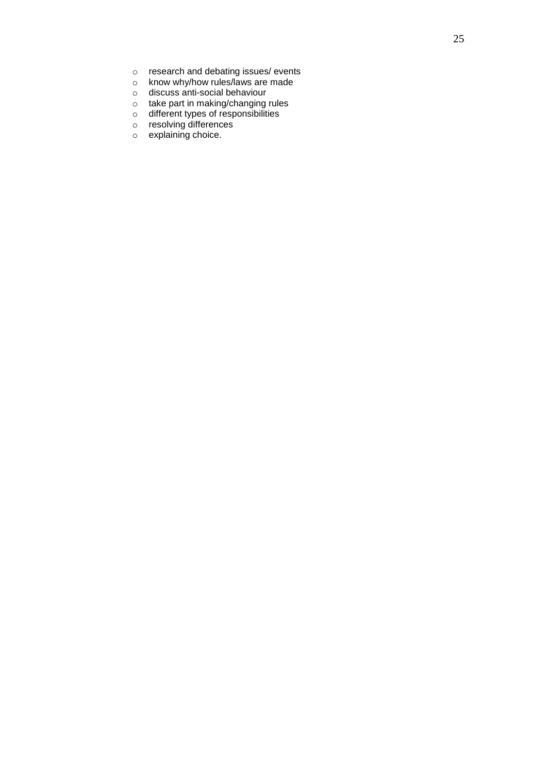- o research and debating issues/ events
- o know why/how rules/laws are made
- o discuss anti-social behaviour
- o take part in making/changing rules
- o different types of responsibilities
- o resolving differences
- o explaining choice.